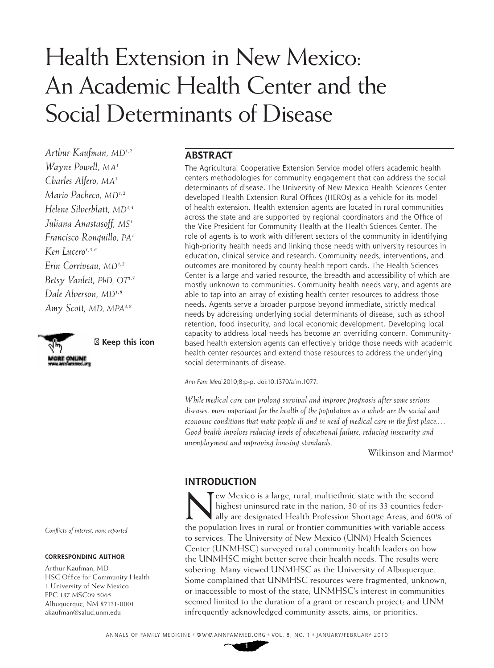# Health Extension in New Mexico: An Academic Health Center and the Social Determinants of Disease

*Arthur Kaufman, MD1,2 Wayne Powell, MA1 Charles Alfero, MA3 Mario Pacheco, MD1,2 Helene Silverblatt, MD1,4 Juliana Anastasoff, MS1 Francisco Ronquillo, PA1 Ken Lucero1,5,6 Erin Corriveau, MD1,2 Betsy Vanleit, PhD, OT1,7 Dale Alverson, MD1,8 Amy Scott, MD, MPA1,9*



 **Keep this icon**

*Conflicts of interest: none reported*

#### **CORRESPONDING AUTHOR**

Arthur Kaufman, MD HSC Office for Community Health 1 University of New Mexico FPC 137 MSC09 5065 Albuquerque, NM 87131-0001 akaufman@salud.unm.edu

# **ABSTRACT**

The Agricultural Cooperative Extension Service model offers academic health centers methodologies for community engagement that can address the social determinants of disease. The University of New Mexico Health Sciences Center developed Health Extension Rural Offices (HEROs) as a vehicle for its model of health extension. Health extension agents are located in rural communities across the state and are supported by regional coordinators and the Office of the Vice President for Community Health at the Health Sciences Center. The role of agents is to work with different sectors of the community in identifying high-priority health needs and linking those needs with university resources in education, clinical service and research. Community needs, interventions, and outcomes are monitored by county health report cards. The Health Sciences Center is a large and varied resource, the breadth and accessibility of which are mostly unknown to communities. Community health needs vary, and agents are able to tap into an array of existing health center resources to address those needs. Agents serve a broader purpose beyond immediate, strictly medical needs by addressing underlying social determinants of disease, such as school retention, food insecurity, and local economic development. Developing local capacity to address local needs has become an overriding concern. Communitybased health extension agents can effectively bridge those needs with academic health center resources and extend those resources to address the underlying social determinants of disease.

*Ann Fam Med* 2010;8:p-p. doi:10.1370/afm.1077.

*While medical care can prolong survival and improve prognosis after some serious diseases, more important for the health of the population as a whole are the social and economic conditions that make people ill and in need of medical care in the first place.… Good health involves reducing levels of educational failure, reducing insecurity and unemployment and improving housing standards.*

Wilkinson and Marmot<sup>1</sup>

# **INTRODUCTION**

Tew Mexico is a large, rural, multiethnic state with the second highest uninsured rate in the nation, 30 of its 33 counties federally are designated Health Profession Shortage Areas, and 60% of the population lives in rural or frontier communities with variable access to services. The University of New Mexico (UNM) Health Sciences Center (UNMHSC) surveyed rural community health leaders on how the UNMHSC might better serve their health needs. The results were sobering. Many viewed UNMHSC as the University of Albuquerque. Some complained that UNMHSC resources were fragmented, unknown, or inaccessible to most of the state; UNMHSC's interest in communities seemed limited to the duration of a grant or research project; and UNM infrequently acknowledged community assets, aims, or priorities.

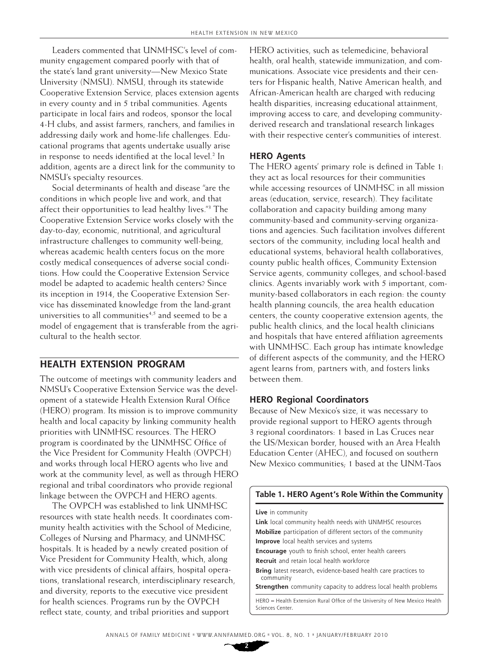Leaders commented that UNMHSC's level of community engagement compared poorly with that of the state's land grant university—New Mexico State University (NMSU). NMSU, through its statewide Cooperative Extension Service, places extension agents in every county and in 5 tribal communities. Agents participate in local fairs and rodeos, sponsor the local 4-H clubs, and assist farmers, ranchers, and families in addressing daily work and home-life challenges. Educational programs that agents undertake usually arise in response to needs identified at the local level.<sup>2</sup> In addition, agents are a direct link for the community to NMSU's specialty resources.

Social determinants of health and disease "are the conditions in which people live and work, and that affect their opportunities to lead healthy lives."3 The Cooperative Extension Service works closely with the day-to-day, economic, nutritional, and agricultural infrastructure challenges to community well-being, whereas academic health centers focus on the more costly medical consequences of adverse social conditions. How could the Cooperative Extension Service model be adapted to academic health centers? Since its inception in 1914, the Cooperative Extension Service has disseminated knowledge from the land-grant universities to all communities<sup>4,5</sup> and seemed to be a model of engagement that is transferable from the agricultural to the health sector.

# **HEALTH EXTENSION PROGRAM**

The outcome of meetings with community leaders and NMSU's Cooperative Extension Service was the development of a statewide Health Extension Rural Office (HERO) program. Its mission is to improve community health and local capacity by linking community health priorities with UNMHSC resources. The HERO program is coordinated by the UNMHSC Office of the Vice President for Community Health (OVPCH) and works through local HERO agents who live and work at the community level, as well as through HERO regional and tribal coordinators who provide regional linkage between the OVPCH and HERO agents.

The OVPCH was established to link UNMHSC resources with state health needs. It coordinates community health activities with the School of Medicine, Colleges of Nursing and Pharmacy, and UNMHSC hospitals. It is headed by a newly created position of Vice President for Community Health, which, along with vice presidents of clinical affairs, hospital operations, translational research, interdisciplinary research, and diversity, reports to the executive vice president for health sciences. Programs run by the OVPCH reflect state, county, and tribal priorities and support

HERO activities, such as telemedicine, behavioral health, oral health, statewide immunization, and communications. Associate vice presidents and their centers for Hispanic health, Native American health, and African-American health are charged with reducing health disparities, increasing educational attainment, improving access to care, and developing communityderived research and translational research linkages with their respective center's communities of interest.

## **HERO Agents**

The HERO agents' primary role is defined in Table 1: they act as local resources for their communities while accessing resources of UNMHSC in all mission areas (education, service, research). They facilitate collaboration and capacity building among many community-based and community-serving organizations and agencies. Such facilitation involves different sectors of the community, including local health and educational systems, behavioral health collaboratives, county public health offices, Community Extension Service agents, community colleges, and school-based clinics. Agents invariably work with 5 important, community-based collaborators in each region: the county health planning councils, the area health education centers, the county cooperative extension agents, the public health clinics, and the local health clinicians and hospitals that have entered affiliation agreements with UNMHSC. Each group has intimate knowledge of different aspects of the community, and the HERO agent learns from, partners with, and fosters links between them.

## **HERO Regional Coordinators**

Because of New Mexico's size, it was necessary to provide regional support to HERO agents through 3 regional coordinators: 1 based in Las Cruces near the US/Mexican border, housed with an Area Health Education Center (AHEC), and focused on southern New Mexico communities; 1 based at the UNM-Taos

| Table 1. HERO Agent's Role Within the Community                                                 |
|-------------------------------------------------------------------------------------------------|
| Live in community                                                                               |
| <b>Link</b> local community health needs with UNMHSC resources                                  |
| <b>Mobilize</b> participation of different sectors of the community                             |
| <b>Improve</b> local health services and systems                                                |
| <b>Encourage</b> youth to finish school, enter health careers                                   |
| <b>Recruit</b> and retain local health workforce                                                |
| <b>Bring</b> latest research, evidence-based health care practices to<br>community              |
| <b>Strengthen</b> community capacity to address local health problems                           |
| HERO = Health Extension Rural Office of the University of New Mexico Health<br>Sciences Center. |

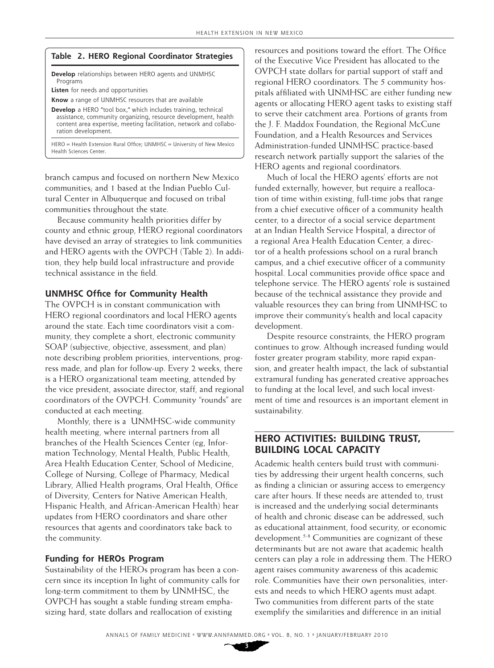### **Table 2. HERO Regional Coordinator Strategies**

**Develop** relationships between HERO agents and UNMHSC Programs

**Listen** for needs and opportunities

**Know** a range of UNMHSC resources that are available

**Develop** a HERO "tool box," which includes training, technical assistance, community organizing, resource development, health content area expertise, meeting facilitation, network and collaboration development.

HERO = Health Extension Rural Office; UNMHSC = University of New Mexico Health Sciences Center.

branch campus and focused on northern New Mexico communities; and 1 based at the Indian Pueblo Cultural Center in Albuquerque and focused on tribal communities throughout the state.

Because community health priorities differ by county and ethnic group, HERO regional coordinators have devised an array of strategies to link communities and HERO agents with the OVPCH (Table 2). In addition, they help build local infrastructure and provide technical assistance in the field.

#### **UNMHSC Office for Community Health**

The OVPCH is in constant communication with HERO regional coordinators and local HERO agents around the state. Each time coordinators visit a community, they complete a short, electronic community SOAP (subjective, objective, assessment, and plan) note describing problem priorities, interventions, progress made, and plan for follow-up. Every 2 weeks, there is a HERO organizational team meeting, attended by the vice president, associate director, staff, and regional coordinators of the OVPCH. Community "rounds" are conducted at each meeting.

Monthly, there is a UNMHSC-wide community health meeting, where internal partners from all branches of the Health Sciences Center (eg, Information Technology, Mental Health, Public Health, Area Health Education Center, School of Medicine, College of Nursing, College of Pharmacy, Medical Library, Allied Health programs, Oral Health, Office of Diversity, Centers for Native American Health, Hispanic Health, and African-American Health) hear updates from HERO coordinators and share other resources that agents and coordinators take back to the community.

#### **Funding for HEROs Program**

Sustainability of the HEROs program has been a concern since its inception In light of community calls for long-term commitment to them by UNMHSC, the OVPCH has sought a stable funding stream emphasizing hard, state dollars and reallocation of existing

resources and positions toward the effort. The Office of the Executive Vice President has allocated to the OVPCH state dollars for partial support of staff and regional HERO coordinators. The 5 community hospitals affiliated with UNMHSC are either funding new agents or allocating HERO agent tasks to existing staff to serve their catchment area. Portions of grants from the J. F. Maddox Foundation, the Regional McCune Foundation, and a Health Resources and Services Administration-funded UNMHSC practice-based research network partially support the salaries of the HERO agents and regional coordinators.

Much of local the HERO agents' efforts are not funded externally, however, but require a reallocation of time within existing, full-time jobs that range from a chief executive officer of a community health center, to a director of a social service department at an Indian Health Service Hospital, a director of a regional Area Health Education Center, a director of a health professions school on a rural branch campus, and a chief executive officer of a community hospital. Local communities provide office space and telephone service. The HERO agents' role is sustained because of the technical assistance they provide and valuable resources they can bring from UNMHSC to improve their community's health and local capacity development.

Despite resource constraints, the HERO program continues to grow. Although increased funding would foster greater program stability, more rapid expansion, and greater health impact, the lack of substantial extramural funding has generated creative approaches to funding at the local level, and such local investment of time and resources is an important element in sustainability.

# **HERO ACTIVITIES: BUILDING TRUST, BUILDING LOCAL CAPACITY**

Academic health centers build trust with communities by addressing their urgent health concerns, such as finding a clinician or assuring access to emergency care after hours. If these needs are attended to, trust is increased and the underlying social determinants of health and chronic disease can be addressed, such as educational attainment, food security, or economic development.<sup>5-8</sup> Communities are cognizant of these determinants but are not aware that academic health centers can play a role in addressing them. The HERO agent raises community awareness of this academic role. Communities have their own personalities, interests and needs to which HERO agents must adapt. Two communities from different parts of the state exemplify the similarities and difference in an initial

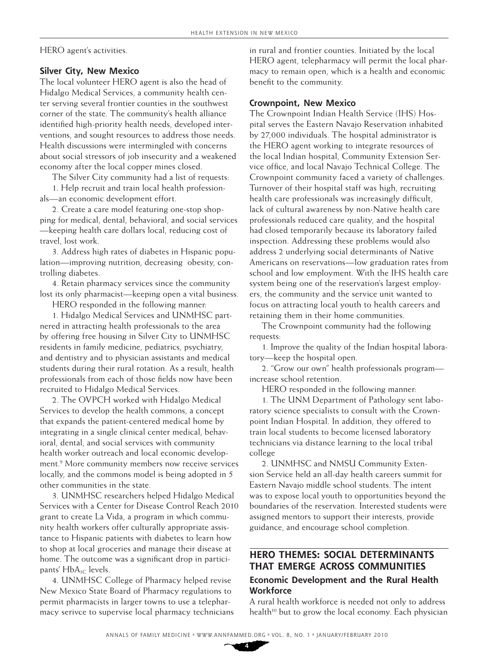HERO agent's activities.

# **Silver City, New Mexico**

The local volunteer HERO agent is also the head of Hidalgo Medical Services, a community health center serving several frontier counties in the southwest corner of the state. The community's health alliance identified high-priority health needs, developed interventions, and sought resources to address those needs. Health discussions were intermingled with concerns about social stressors of job insecurity and a weakened economy after the local copper mines closed.

The Silver City community had a list of requests:

1. Help recruit and train local health professionals—an economic development effort.

2. Create a care model featuring one-stop shopping for medical, dental, behavioral, and social services —keeping health care dollars local, reducing cost of travel, lost work.

3. Address high rates of diabetes in Hispanic population—improving nutrition, decreasing obesity, controlling diabetes.

4. Retain pharmacy services since the community lost its only pharmacist—keeping open a vital business.

HERO responded in the following manner:

1. Hidalgo Medical Services and UNMHSC partnered in attracting health professionals to the area by offering free housing in Silver City to UNMHSC residents in family medicine, pediatrics, psychiatry, and dentistry and to physician assistants and medical students during their rural rotation. As a result, health professionals from each of those fields now have been recruited to Hidalgo Medical Services.

2. The OVPCH worked with Hidalgo Medical Services to develop the health commons, a concept that expands the patient-centered medical home by integrating in a single clinical center medical, behavioral, dental, and social services with community health worker outreach and local economic development.<sup>9</sup> More community members now receive services locally, and the commons model is being adopted in 5 other communities in the state.

3. UNMHSC researchers helped Hidalgo Medical Services with a Center for Disease Control Reach 2010 grant to create La Vida, a program in which community health workers offer culturally appropriate assistance to Hispanic patients with diabetes to learn how to shop at local groceries and manage their disease at home. The outcome was a significant drop in participants'  $HbA_{1C}$  levels.

4. UNMHSC College of Pharmacy helped revise New Mexico State Board of Pharmacy regulations to permit pharmacists in larger towns to use a telepharmacy serivce to supervise local pharmacy technicians

in rural and frontier counties. Initiated by the local HERO agent, telepharmacy will permit the local pharmacy to remain open, which is a health and economic benefit to the community.

## **Crownpoint, New Mexico**

The Crownpoint Indian Health Service (IHS) Hospital serves the Eastern Navajo Reservation inhabited by 27,000 individuals. The hospital administrator is the HERO agent working to integrate resources of the local Indian hospital, Community Extension Service office, and local Navajo Technical College. The Crownpoint community faced a variety of challenges. Turnover of their hospital staff was high, recruiting health care professionals was increasingly difficult, lack of cultural awareness by non-Native health care professionals reduced care quality, and the hospital had closed temporarily because its laboratory failed inspection. Addressing these problems would also address 2 underlying social determinants of Native Americans on reservations—low graduation rates from school and low employment. With the IHS health care system being one of the reservation's largest employers, the community and the service unit wanted to focus on attracting local youth to health careers and retaining them in their home communities.

The Crownpoint community had the following requests:

1. Improve the quality of the Indian hospital laboratory—keep the hospital open.

2. "Grow our own" health professionals program increase school retention.

HERO responded in the following manner:

1. The UNM Department of Pathology sent laboratory science specialists to consult with the Crownpoint Indian Hospital. In addition, they offered to train local students to become licensed laboratory technicians via distance learning to the local tribal college

2. UNMHSC and NMSU Community Extension Service held an all-day health careers summit for Eastern Navajo middle school students. The intent was to expose local youth to opportunities beyond the boundaries of the reservation. Interested students were assigned mentors to support their interests, provide guidance, and encourage school completion.

# **HERO THEMES: SOCIAL DETERMINANTS THAT EMERGE ACROSS COMMUNITIES Economic Development and the Rural Health Workforce**

A rural health workforce is needed not only to address health<sup>10</sup> but to grow the local economy. Each physician

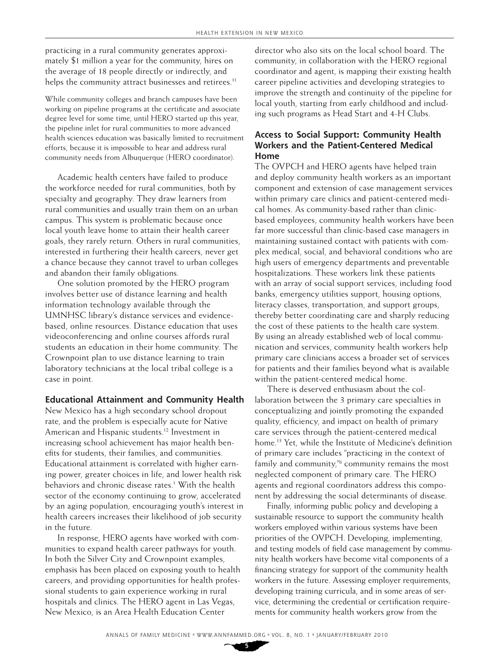practicing in a rural community generates approximately \$1 million a year for the community, hires on the average of 18 people directly or indirectly, and helps the community attract businesses and retirees.<sup>11</sup>

While community colleges and branch campuses have been working on pipeline programs at the certificate and associate degree level for some time, until HERO started up this year, the pipeline inlet for rural communities to more advanced health sciences education was basically limited to recruitment efforts, because it is impossible to hear and address rural community needs from Albuquerque (HERO coordinator).

Academic health centers have failed to produce the workforce needed for rural communities, both by specialty and geography. They draw learners from rural communities and usually train them on an urban campus. This system is problematic because once local youth leave home to attain their health career goals, they rarely return. Others in rural communities, interested in furthering their health careers, never get a chance because they cannot travel to urban colleges and abandon their family obligations.

One solution promoted by the HERO program involves better use of distance learning and health information technology available through the UMNHSC library's distance services and evidencebased, online resources. Distance education that uses videoconferencing and online courses affords rural students an education in their home community. The Crownpoint plan to use distance learning to train laboratory technicians at the local tribal college is a case in point.

#### **Educational Attainment and Community Health**

New Mexico has a high secondary school dropout rate, and the problem is especially acute for Native American and Hispanic students.<sup>12</sup> Investment in increasing school achievement has major health benefits for students, their families, and communities. Educational attainment is correlated with higher earning power, greater choices in life, and lower health risk behaviors and chronic disease rates.1 With the health sector of the economy continuing to grow, accelerated by an aging population, encouraging youth's interest in health careers increases their likelihood of job security in the future.

In response, HERO agents have worked with communities to expand health career pathways for youth. In both the Silver City and Crownpoint examples, emphasis has been placed on exposing youth to health careers, and providing opportunities for health professional students to gain experience working in rural hospitals and clinics. The HERO agent in Las Vegas, New Mexico, is an Area Health Education Center

director who also sits on the local school board. The community, in collaboration with the HERO regional coordinator and agent, is mapping their existing health career pipeline activities and developing strategies to improve the strength and continuity of the pipeline for local youth, starting from early childhood and including such programs as Head Start and 4-H Clubs.

## **Access to Social Support: Community Health Workers and the Patient-Centered Medical Home**

The OVPCH and HERO agents have helped train and deploy community health workers as an important component and extension of case management services within primary care clinics and patient-centered medical homes. As community-based rather than clinicbased employees, community health workers have been far more successful than clinic-based case managers in maintaining sustained contact with patients with complex medical, social, and behavioral conditions who are high users of emergency departments and preventable hospitalizations. These workers link these patients with an array of social support services, including food banks, emergency utilities support, housing options, literacy classes, transportation, and support groups, thereby better coordinating care and sharply reducing the cost of these patients to the health care system. By using an already established web of local communication and services, community health workers help primary care clinicians access a broader set of services for patients and their families beyond what is available within the patient-centered medical home.

There is deserved enthusiasm about the collaboration between the 3 primary care specialties in conceptualizing and jointly promoting the expanded quality, efficiency, and impact on health of primary care services through the patient-centered medical home.13 Yet, while the Institute of Medicine's definition of primary care includes "practicing in the context of family and community,<sup>16</sup> community remains the most neglected component of primary care. The HERO agents and regional coordinators address this component by addressing the social determinants of disease.

Finally, informing public policy and developing a sustainable resource to support the community health workers employed within various systems have been priorities of the OVPCH. Developing, implementing, and testing models of field case management by community health workers have become vital components of a financing strategy for support of the community health workers in the future. Assessing employer requirements, developing training curricula, and in some areas of service, determining the credential or certification requirements for community health workers grow from the

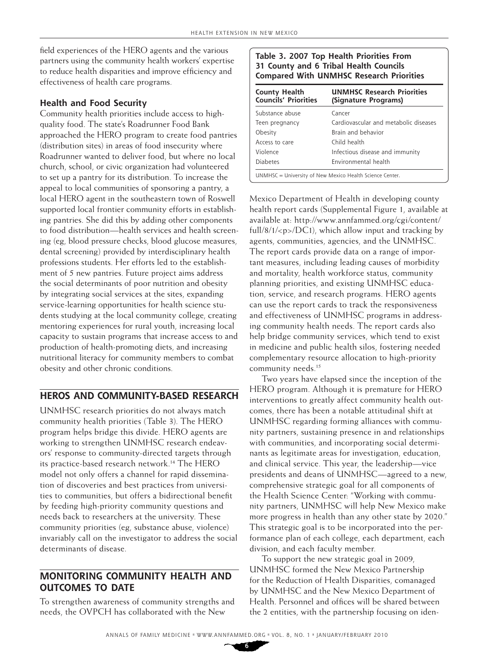field experiences of the HERO agents and the various partners using the community health workers' expertise to reduce health disparities and improve efficiency and effectiveness of health care programs.

# **Health and Food Security**

Community health priorities include access to highquality food. The state's Roadrunner Food Bank approached the HERO program to create food pantries (distribution sites) in areas of food insecurity where Roadrunner wanted to deliver food, but where no local church, school, or civic organization had volunteered to set up a pantry for its distribution. To increase the appeal to local communities of sponsoring a pantry, a local HERO agent in the southeastern town of Roswell supported local frontier community efforts in establishing pantries. She did this by adding other components to food distribution—health services and health screening (eg, blood pressure checks, blood glucose measures, dental screening) provided by interdisciplinary health professions students. Her efforts led to the establishment of 5 new pantries. Future project aims address the social determinants of poor nutrition and obesity by integrating social services at the sites, expanding service-learning opportunities for health science students studying at the local community college, creating mentoring experiences for rural youth, increasing local capacity to sustain programs that increase access to and production of health-promoting diets, and increasing nutritional literacy for community members to combat obesity and other chronic conditions.

# **HEROS AND COMMUNITY-BASED RESEARCH**

UNMHSC research priorities do not always match community health priorities (Table 3). The HERO program helps bridge this divide. HERO agents are working to strengthen UNMHSC research endeavors' response to community-directed targets through its practice-based research network.<sup>14</sup> The HERO model not only offers a channel for rapid dissemination of discoveries and best practices from universities to communities, but offers a bidirectional benefit by feeding high-priority community questions and needs back to researchers at the university. These community priorities (eg, substance abuse, violence) invariably call on the investigator to address the social determinants of disease.

# **MONITORING COMMUNITY HEALTH AND OUTCOMES TO DATE**

To strengthen awareness of community strengths and needs, the OVPCH has collaborated with the New

#### **Table 3. 2007 Top Health Priorities From 31 County and 6 Tribal Health Councils Compared With UNMHSC Research Priorities**

| <b>County Health</b><br><b>Councils' Priorities</b>      | <b>UNMHSC Research Priorities</b><br>(Signature Programs) |
|----------------------------------------------------------|-----------------------------------------------------------|
| Substance abuse                                          | Cancer                                                    |
| Teen pregnancy                                           | Cardiovascular and metabolic diseases                     |
| Obesity                                                  | Brain and behavior                                        |
| Access to care                                           | Child health                                              |
| Violence                                                 | Infectious disease and immunity                           |
| <b>Diabetes</b>                                          | Environmental health                                      |
| UNMHSC = University of New Mexico Health Science Center. |                                                           |

Mexico Department of Health in developing county health report cards (Supplemental Figure 1, available at available at: http://www.annfammed.org/cgi/content/ full/8/1/<p>/DC1), which allow input and tracking by agents, communities, agencies, and the UNMHSC. The report cards provide data on a range of important measures, including leading causes of morbidity and mortality, health workforce status, community planning priorities, and existing UNMHSC education, service, and research programs. HERO agents can use the report cards to track the responsiveness and effectiveness of UNMHSC programs in addressing community health needs. The report cards also help bridge community services, which tend to exist in medicine and public health silos, fostering needed complementary resource allocation to high-priority community needs.15

Two years have elapsed since the inception of the HERO program. Although it is premature for HERO interventions to greatly affect community health outcomes, there has been a notable attitudinal shift at UNMHSC regarding forming alliances with community partners, sustaining presence in and relationships with communities, and incorporating social determinants as legitimate areas for investigation, education, and clinical service. This year, the leadership—vice presidents and deans of UNMHSC—agreed to a new, comprehensive strategic goal for all components of the Health Science Center: "Working with community partners, UNMHSC will help New Mexico make more progress in health than any other state by 2020." This strategic goal is to be incorporated into the performance plan of each college, each department, each division, and each faculty member.

To support the new strategic goal in 2009, UNMHSC formed the New Mexico Partnership for the Reduction of Health Disparities, comanaged by UNMHSC and the New Mexico Department of Health. Personnel and offices will be shared between the 2 entities, with the partnership focusing on iden-

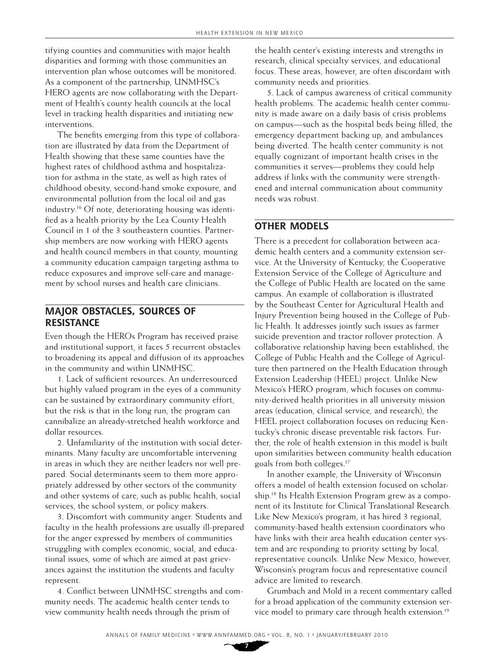tifying counties and communities with major health disparities and forming with those communities an intervention plan whose outcomes will be monitored. As a component of the partnership, UNMHSC's HERO agents are now collaborating with the Department of Health's county health councils at the local level in tracking health disparities and initiating new interventions.

The benefits emerging from this type of collaboration are illustrated by data from the Department of Health showing that these same counties have the highest rates of childhood asthma and hospitalization for asthma in the state, as well as high rates of childhood obesity, second-hand smoke exposure, and environmental pollution from the local oil and gas industry.16 Of note, deteriorating housing was identified as a health priority by the Lea County Health Council in 1 of the 3 southeastern counties. Partnership members are now working with HERO agents and health council members in that county, mounting a community education campaign targeting asthma to reduce exposures and improve self-care and management by school nurses and health care clinicians.

# **MAJOR OBSTACLES, SOURCES OF RESISTANCE**

Even though the HEROs Program has received praise and institutional support, it faces 5 recurrent obstacles to broadening its appeal and diffusion of its approaches in the community and within UNMHSC.

1. Lack of sufficient resources. An underresourced but highly valued program in the eyes of a community can be sustained by extraordinary community effort, but the risk is that in the long run, the program can cannibalize an already-stretched health workforce and dollar resources.

2. Unfamiliarity of the institution with social determinants. Many faculty are uncomfortable intervening in areas in which they are neither leaders nor well prepared. Social determinants seem to them more appropriately addressed by other sectors of the community and other systems of care, such as public health, social services, the school system, or policy makers.

3. Discomfort with community anger. Students and faculty in the health professions are usually ill-prepared for the anger expressed by members of communities struggling with complex economic, social, and educational issues, some of which are aimed at past grievances against the institution the students and faculty represent.

4. Conflict between UNMHSC strengths and community needs. The academic health center tends to view community health needs through the prism of

the health center's existing interests and strengths in research, clinical specialty services, and educational focus. These areas, however, are often discordant with community needs and priorities.

5. Lack of campus awareness of critical community health problems. The academic health center community is made aware on a daily basis of crisis problems on campus—such as the hospital beds being filled, the emergency department backing up, and ambulances being diverted. The health center community is not equally cognizant of important health crises in the communities it serves—problems they could help address if links with the community were strengthened and internal communication about community needs was robust.

# **OTHER MODELS**

There is a precedent for collaboration between academic health centers and a community extension service. At the University of Kentucky, the Cooperative Extension Service of the College of Agriculture and the College of Public Health are located on the same campus. An example of collaboration is illustrated by the Southeast Center for Agricultural Health and Injury Prevention being housed in the College of Public Health. It addresses jointly such issues as farmer suicide prevention and tractor rollover protection. A collaborative relationship having been established, the College of Public Health and the College of Agriculture then partnered on the Health Education through Extension Leadership (HEEL) project. Unlike New Mexico's HERO program, which focuses on community-derived health priorities in all university mission areas (education, clinical service, and research), the HEEL project collaboration focuses on reducing Kentucky's chronic disease preventable risk factors. Further, the role of health extension in this model is built upon similarities between community health education goals from both colleges.17

In another example, the University of Wisconsin offers a model of health extension focused on scholarship.18 Its Health Extension Program grew as a component of its Institute for Clinical Translational Research. Like New Mexico's program, it has hired 3 regional, community-based health extension coordinators who have links with their area health education center system and are responding to priority setting by local, representative councils. Unlike New Mexico, however, Wisconsin's program focus and representative council advice are limited to research.

Grumbach and Mold in a recent commentary called for a broad application of the community extension service model to primary care through health extension.<sup>19</sup>

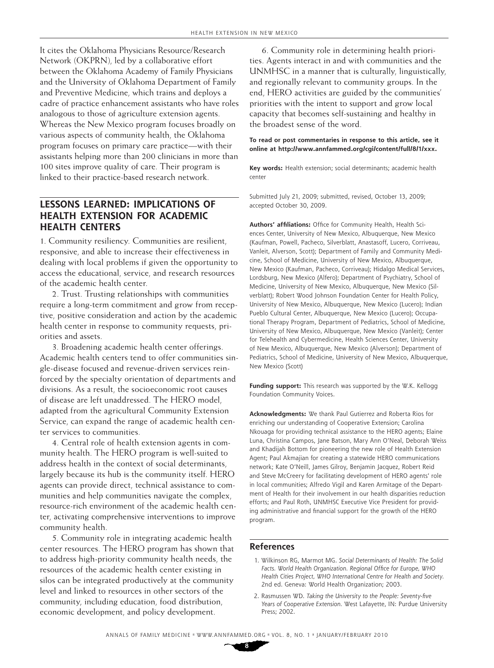It cites the Oklahoma Physicians Resource/Research Network (OKPRN), led by a collaborative effort between the Oklahoma Academy of Family Physicians and the University of Oklahoma Department of Family and Preventive Medicine, which trains and deploys a cadre of practice enhancement assistants who have roles analogous to those of agriculture extension agents. Whereas the New Mexico program focuses broadly on various aspects of community health, the Oklahoma program focuses on primary care practice—with their assistants helping more than 200 clinicians in more than 100 sites improve quality of care. Their program is linked to their practice-based research network.

# **LESSONS LEARNED: IMPLICATIONS OF HEALTH EXTENSION FOR ACADEMIC HEALTH CENTERS**

1. Community resiliency. Communities are resilient, responsive, and able to increase their effectiveness in dealing with local problems if given the opportunity to access the educational, service, and research resources of the academic health center.

2. Trust. Trusting relationships with communities require a long-term commitment and grow from receptive, positive consideration and action by the academic health center in response to community requests, priorities and assets.

3. Broadening academic health center offerings. Academic health centers tend to offer communities single-disease focused and revenue-driven services reinforced by the specialty orientation of departments and divisions. As a result, the socioeconomic root causes of disease are left unaddressed. The HERO model, adapted from the agricultural Community Extension Service, can expand the range of academic health center services to communities.

4. Central role of health extension agents in community health. The HERO program is well-suited to address health in the context of social determinants, largely because its hub is the community itself. HERO agents can provide direct, technical assistance to communities and help communities navigate the complex, resource-rich environment of the academic health center, activating comprehensive interventions to improve community health.

5. Community role in integrating academic health center resources. The HERO program has shown that to address high-priority community health needs, the resources of the academic health center existing in silos can be integrated productively at the community level and linked to resources in other sectors of the community, including education, food distribution, economic development, and policy development.

6. Community role in determining health priorities. Agents interact in and with communities and the UNMHSC in a manner that is culturally, linguistically, and regionally relevant to community groups. In the end, HERO activities are guided by the communities' priorities with the intent to support and grow local capacity that becomes self-sustaining and healthy in the broadest sense of the word.

**To read or post commentaries in response to this article, see it online at http://www.annfammed.org/cgi/content/full/8/1/xxx.**

**Key words:** Health extension; social determinants; academic health center

Submitted July 21, 2009; submitted, revised, October 13, 2009; accepted October 30, 2009.

**Authors' affiliations:** Office for Community Health, Health Sciences Center, University of New Mexico, Albuquerque, New Mexico (Kaufman, Powell, Pacheco, Silverblatt, Anastasoff, Lucero, Corriveau, Vanleit, Alverson, Scott); Department of Family and Community Medicine, School of Medicine, University of New Mexico, Albuquerque, New Mexico (Kaufman, Pacheco, Corriveau); Hidalgo Medical Services, Lordsburg, New Mexico (Alfero); Department of Psychiatry, School of Medicine, University of New Mexico, Albuquerque, New Mexico (Silverblatt); Robert Wood Johnson Foundation Center for Health Policy, University of New Mexico, Albuquerque, New Mexico (Lucero); Indian Pueblo Cultural Center, Albuquerque, New Mexico (Lucero); Occupational Therapy Program, Department of Pediatrics, School of Medicine, University of New Mexico, Albuquerque, New Mexico (Vanleit); Center for Telehealth and Cybermedicine, Health Sciences Center, University of New Mexico, Albuquerque, New Mexico (Alverson); Department of Pediatrics, School of Medicine, University of New Mexico, Albuquerque, New Mexico (Scott)

**Funding support:** This research was supported by the W.K. Kellogg Foundation Community Voices.

**Acknowledgments:** We thank Paul Gutierrez and Roberta Rios for enriching our understanding of Cooperative Extension; Carolina Nkouaga for providing technical assistance to the HERO agents; Elaine Luna, Christina Campos, Jane Batson, Mary Ann O'Neal, Deborah Weiss and Khadijah Bottom for pioneering the new role of Health Extension Agent; Paul Akmajian for creating a statewide HERO communications network; Kate O'Neill, James Gilroy, Benjamin Jacquez, Robert Reid and Steve McCreery for facilitating development of HERO agents' role in local communities; Alfredo Vigil and Karen Armitage of the Department of Health for their involvement in our health disparities reduction efforts; and Paul Roth, UNMHSC Executive Vice President for providing administrative and financial support for the growth of the HERO program.

#### **References**

- 1. Wilkinson RG, Marmot MG. *Social Determinants of Health: The Solid Facts. World Health Organization. Regional Office for Europe, WHO Health Cities Project, WHO International Centre for Health and Society.*  2nd ed. Geneva: World Health Organization; 2003.
- 2. Rasmussen WD. *Taking the University to the People: Seventy-five Years of Cooperative Extension.* West Lafayette, IN: Purdue University Press; 2002.